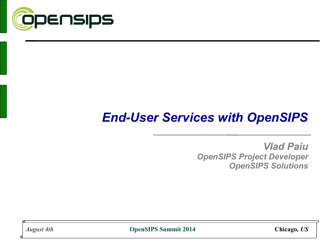

# *End-User Services with OpenSIPS*

*Vlad Paiu OpenSIPS Project Developer OpenSIPS Solutions*

*August 4th* **OpenSIPS Summit 2014 Chicago***, US*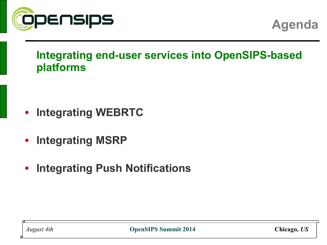

**Agenda**

### **Integrating end-user services into OpenSIPS-based platforms**

- **Integrating WEBRTC**
- **Integrating MSRP**
- **Integrating Push Notifications**

*August 4th* **OpenSIPS Summit 2014 Chicago***, US*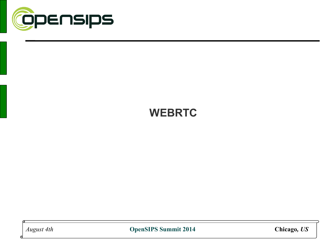

### **WEBRTC**

*August 4th* **OpenSIPS Summit 2014 Chicago***, US*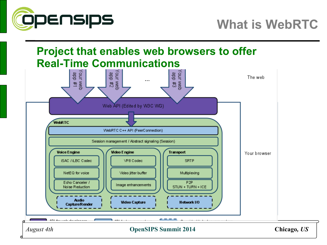

### **Project that enables web browsers to offer Real-Time Communications**



*August 4th* **OpenSIPS Summit 2014 Chicago***, US*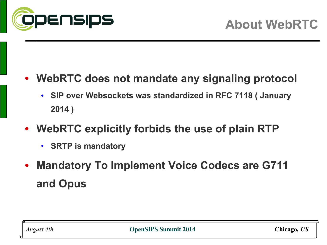

### • **WebRTC does not mandate any signaling protocol**

- **SIP over Websockets was standardized in RFC 7118 ( January 2014 )**
- **WebRTC explicitly forbids the use of plain RTP**
	- **SRTP is mandatory**
- **Mandatory To Implement Voice Codecs are G711 and Opus**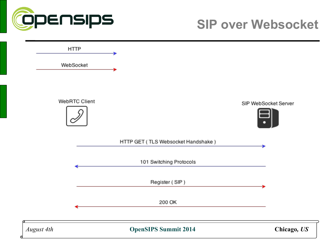

# **SIP over Websocket**

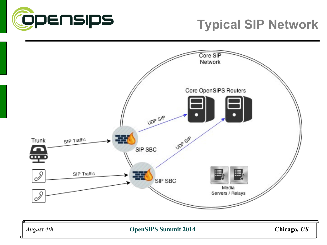

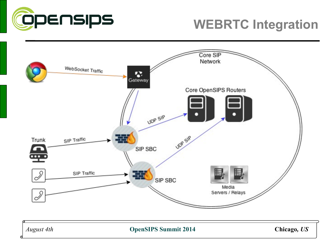

# **WEBRTC Integration**



*August 4th* **OpenSIPS Summit 2014 Chicago***, US*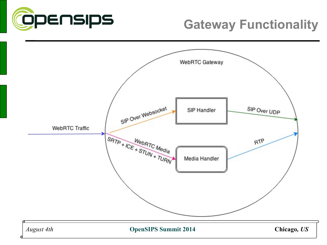

# **Gateway Functionality**

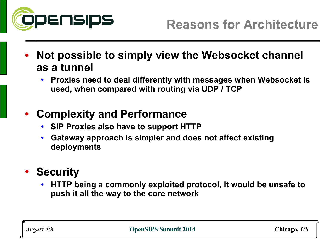

- **Not possible to simply view the Websocket channel as a tunnel**
	- **Proxies need to deal differently with messages when Websocket is used, when compared with routing via UDP / TCP**

### • **Complexity and Performance**

- **SIP Proxies also have to support HTTP**
- **Gateway approach is simpler and does not affect existing deployments**

### • **Security**

• **HTTP being a commonly exploited protocol, It would be unsafe to push it all the way to the core network**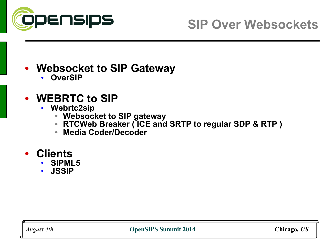

# **SIP Over Websockets**

### • **Websocket to SIP Gateway**

• **OverSIP**

### • **WEBRTC to SIP**

- **Webrtc2sip**
	- **Websocket to SIP gateway**
	- **RTCWeb Breaker ( ICE and SRTP to regular SDP & RTP )**
	- **Media Coder/Decoder**

### • **Clients**

- **SIPML5**
- **JSSIP**

*August 4th* **OpenSIPS Summit 2014 Chicago***, US*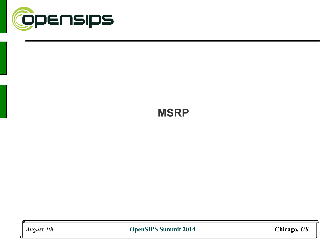

# **MSRP**

*August 4th* **OpenSIPS Summit 2014 Chicago***, US*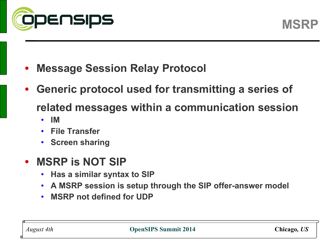

- **Message Session Relay Protocol**
- **Generic protocol used for transmitting a series of related messages within a communication session**
	- **IM**
	- **File Transfer**
	- **Screen sharing**
- **MSRP is NOT SIP**
	- **Has a similar syntax to SIP**
	- **A MSRP session is setup through the SIP offer-answer model**
	- **MSRP not defined for UDP**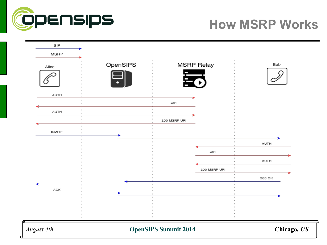

# **How MSRP Works**

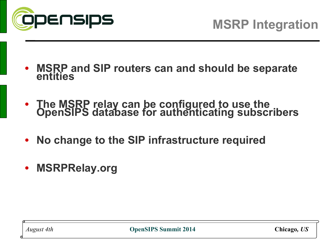

- **MSRP and SIP routers can and should be separate entities**
- **The MSRP relay can be configured to use the OpenSIPS database for authenticating subscribers**
- **No change to the SIP infrastructure required**
- **MSRPRelay.org**

*August 4th* **OpenSIPS Summit 2014 Chicago***, US*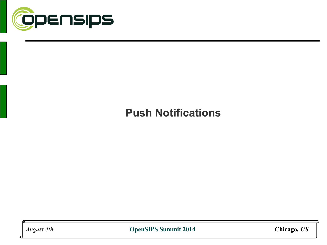

### **Push Notifications**

*August 4th* **OpenSIPS Summit 2014 Chicago***, US*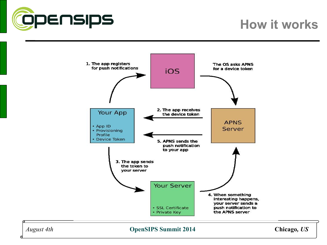

# **How it works**

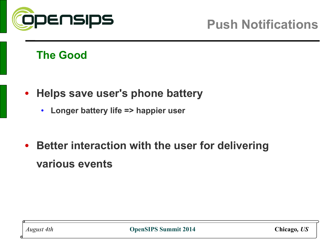

### **The Good**

- **Helps save user's phone battery**
	- **Longer battery life => happier user**
- **Better interaction with the user for delivering various events**

*August 4th* **OpenSIPS Summit 2014 Chicago***, US*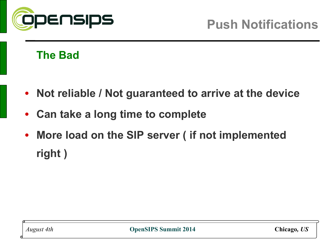

### **The Bad**

- **Not reliable / Not guaranteed to arrive at the device**
- **Can take a long time to complete**
- **More load on the SIP server ( if not implemented right )**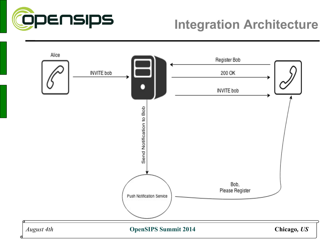

# **Integration Architecture**

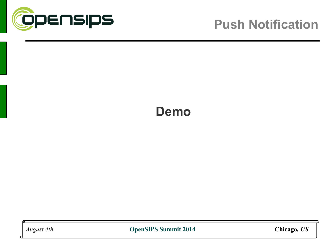

## **Demo**

*August 4th* **OpenSIPS Summit 2014 Chicago***, US*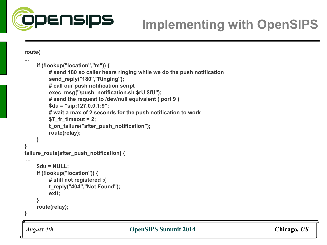

# **Implementing with OpenSIPS**

**route{**

**...**

```
o<br>O
      if (!lookup("location","m")) {
           # send 180 so caller hears ringing while we do the push notification
           send_reply("180","Ringing"); 
           # call our push notification script
           exec_msg("/push_notification.sh $rU $fU");
           # send the request to /dev/null equivalent ( port 9 )
           $du = "sip:127.0.0.1:9";
           # wait a max of 2 seconds for the push notification to work
           $T_fr_timeout = 2;
           t_on_failure("after_push_notification");
           route(relay);
      }
} 
failure_route[after_push_notification] {
 ...
      $du = NULL;
      if (!lookup("location")) {
           # still not registered :(
           t_reply("404","Not Found");
           exit;
      }
      route(relay);
}
```
#### *August 4th* **OpenSIPS Summit 2014 Chicago***, US*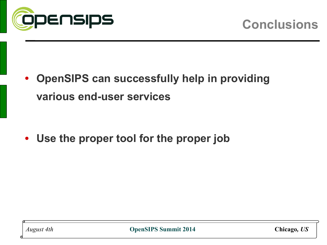

• **OpenSIPS can successfully help in providing various end-user services**

• **Use the proper tool for the proper job**

*August 4th* **OpenSIPS Summit 2014 Chicago***, US*